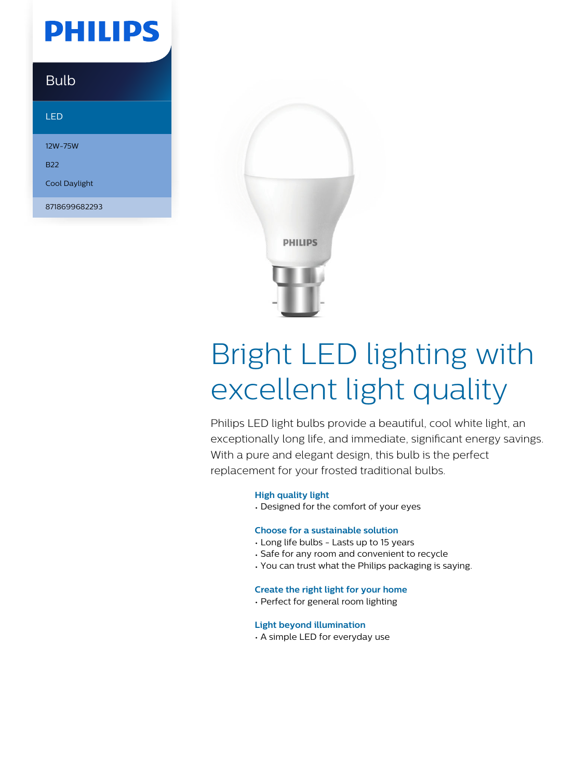## **PHILIPS**

### Bulb

### LED

12W-75W

B22

Cool Daylight

8718699682293



# Bright LED lighting with excellent light quality

Philips LED light bulbs provide a beautiful, cool white light, an exceptionally long life, and immediate, significant energy savings. With a pure and elegant design, this bulb is the perfect replacement for your frosted traditional bulbs.

### **High quality light**

• Designed for the comfort of your eyes

### **Choose for a sustainable solution**

- Long life bulbs Lasts up to 15 years
- Safe for any room and convenient to recycle
- You can trust what the Philips packaging is saying.

### **Create the right light for your home**

• Perfect for general room lighting

### **Light beyond illumination**

• A simple LED for everyday use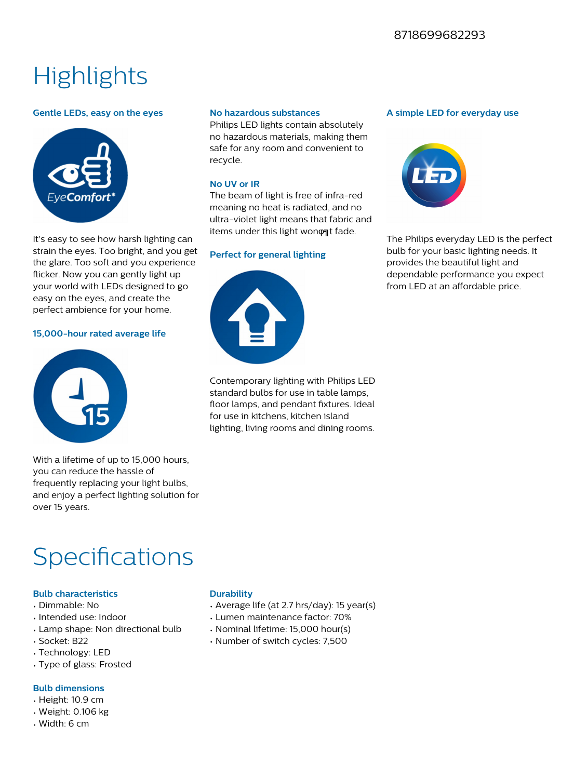## **Highlights**

### **Gentle LEDs, easy on the eyes**



It's easy to see how harsh lighting can strain the eyes. Too bright, and you get the glare. Too soft and you experience flicker. Now you can gently light up your world with LEDs designed to go easy on the eyes, and create the perfect ambience for your home.

### **15,000-hour rated average life**



With a lifetime of up to 15,000 hours, you can reduce the hassle of frequently replacing your light bulbs, and enjoy a perfect lighting solution for over 15 years.

### **No hazardous substances**

Philips LED lights contain absolutely no hazardous materials, making them safe for any room and convenient to recycle.

### **No UV or IR**

The beam of light is free of infra-red meaning no heat is radiated, and no ultra-violet light means that fabric and items under this light wonφat fade.

### **Perfect for general lighting**



Contemporary lighting with Philips LED standard bulbs for use in table lamps, floor lamps, and pendant fixtures. Ideal for use in kitchens, kitchen island lighting, living rooms and dining rooms.

#### **A simple LED for everyday use**



The Philips everyday LED is the perfect bulb for your basic lighting needs. It provides the beautiful light and dependable performance you expect from LED at an affordable price.

### Specifications

### **Bulb characteristics**

- Dimmable: No
- Intended use: Indoor
- Lamp shape: Non directional bulb
- Socket: B22
- Technology: LED
- Type of glass: Frosted

### **Bulb dimensions**

- Height: 10.9 cm
- Weight: 0.106 kg
- Width: 6 cm

### **Durability**

- Average life (at 2.7 hrs/day): 15 year(s)
- Lumen maintenance factor: 70%
- Nominal lifetime: 15,000 hour(s)
- Number of switch cycles: 7,500